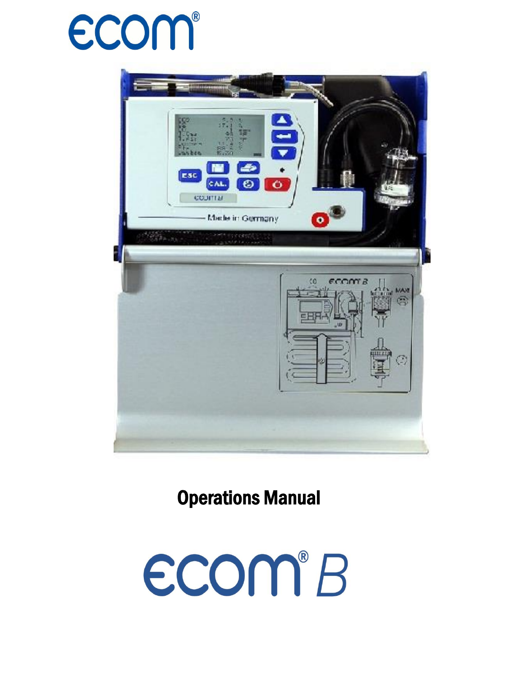



Operations Manual

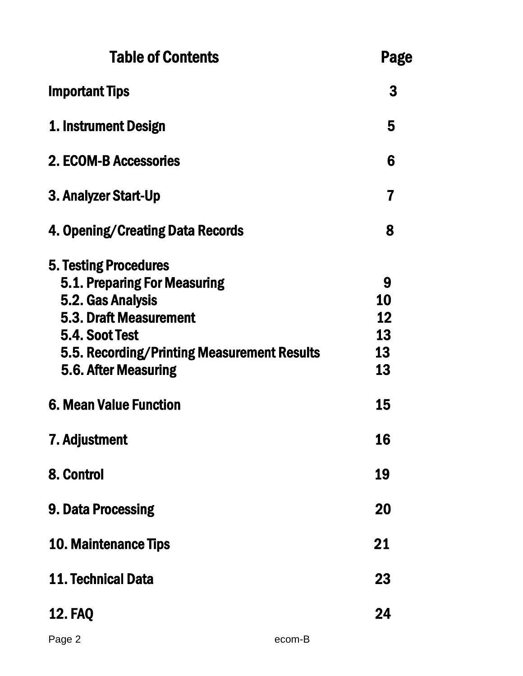| <b>Table of Contents</b>                                                                                                                                                                             |        | Page                            |
|------------------------------------------------------------------------------------------------------------------------------------------------------------------------------------------------------|--------|---------------------------------|
| <b>Important Tips</b>                                                                                                                                                                                |        | 3                               |
| 1. Instrument Design                                                                                                                                                                                 |        | 5                               |
| 2. ECOM-B Accessories                                                                                                                                                                                |        | 6                               |
| 3. Analyzer Start-Up                                                                                                                                                                                 |        | 7                               |
| 4. Opening/Creating Data Records                                                                                                                                                                     |        | 8                               |
| <b>5. Testing Procedures</b><br>5.1. Preparing For Measuring<br>5.2. Gas Analysis<br>5.3. Draft Measurement<br>5.4. Soot Test<br>5.5. Recording/Printing Measurement Results<br>5.6. After Measuring |        | 9<br>10<br>12<br>13<br>13<br>13 |
| <b>6. Mean Value Function</b>                                                                                                                                                                        |        | 15                              |
| 7. Adjustment                                                                                                                                                                                        |        | 16                              |
| 8. Control                                                                                                                                                                                           |        | 19                              |
| 9. Data Processing                                                                                                                                                                                   |        | 20                              |
| <b>10. Maintenance Tips</b>                                                                                                                                                                          |        | 21                              |
| 11. Technical Data                                                                                                                                                                                   |        | 23                              |
| <b>12. FAQ</b>                                                                                                                                                                                       |        | 24                              |
| Page 2                                                                                                                                                                                               | ecom-B |                                 |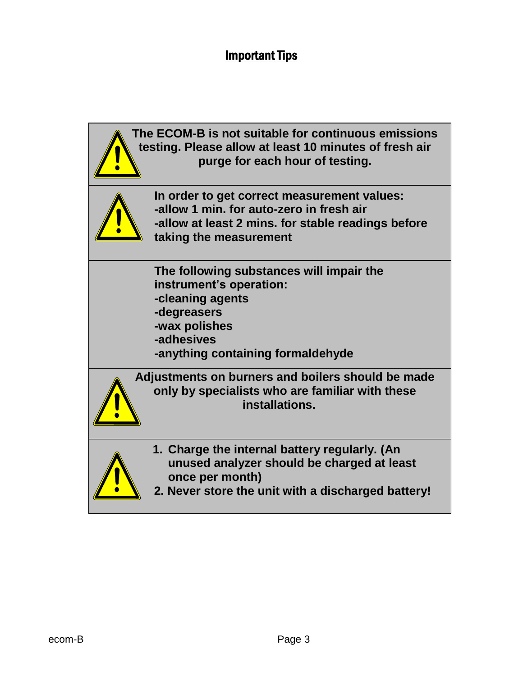#### Important Tips

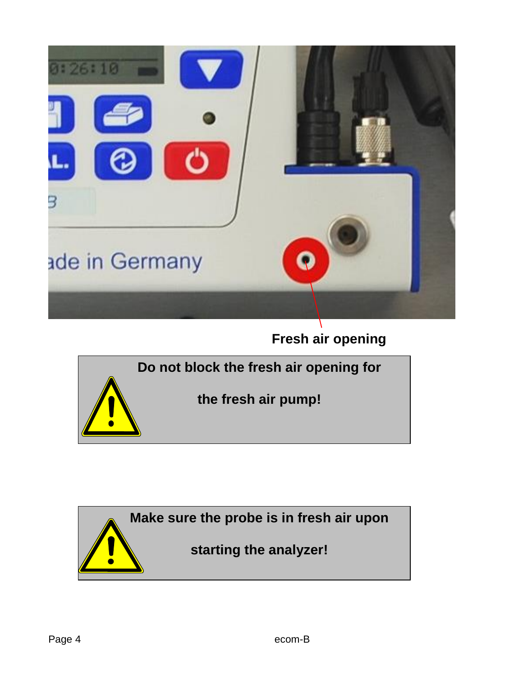

**Fresh air opening**



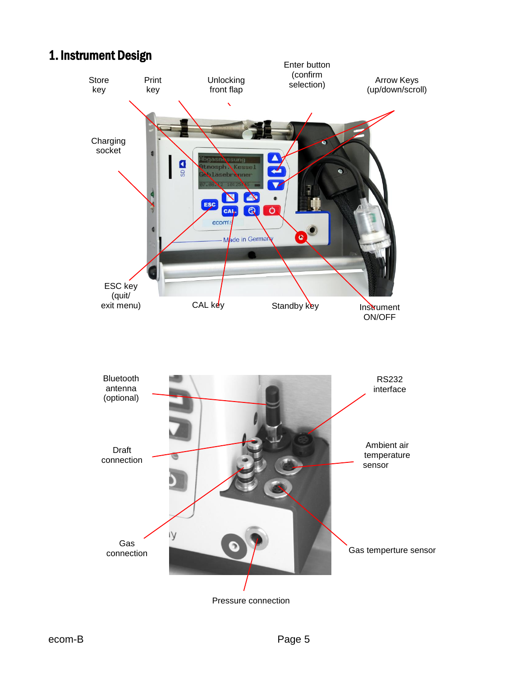## 1. Instrument Design

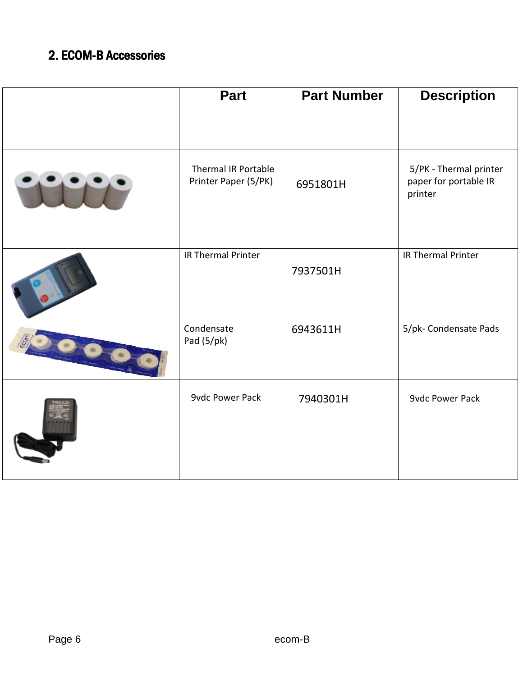## 2. ECOM-B Accessories

| <b>Part</b>                                 | <b>Part Number</b> | <b>Description</b>                                         |
|---------------------------------------------|--------------------|------------------------------------------------------------|
|                                             |                    |                                                            |
| Thermal IR Portable<br>Printer Paper (5/PK) | 6951801H           | 5/PK - Thermal printer<br>paper for portable IR<br>printer |
| IR Thermal Printer                          | 7937501H           | IR Thermal Printer                                         |
| Condensate<br>Pad $(5/pk)$                  | 6943611H           | 5/pk- Condensate Pads                                      |
| <b>9vdc Power Pack</b>                      | 7940301H           | <b>9vdc Power Pack</b>                                     |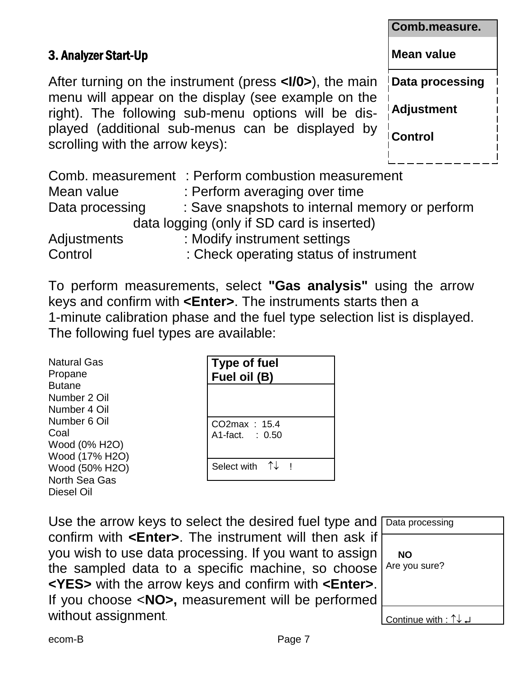|                                                                                                            | Comb.measure.     |
|------------------------------------------------------------------------------------------------------------|-------------------|
| 3. Analyzer Start-Up                                                                                       | Mean value        |
| After turning on the instrument (press < <b>I/0</b> >), the main                                           | Data processing   |
| menu will appear on the display (see example on the<br>right). The following sub-menu options will be dis- | <b>Adjustment</b> |
| played (additional sub-menus can be displayed by<br>scrolling with the arrow keys):                        | Control           |
| Comb. measurement: Perform combustion measurement                                                          |                   |

|                    | Comb. measurement : Perform combustion measurement |
|--------------------|----------------------------------------------------|
| Mean value         | : Perform averaging over time                      |
| Data processing    | : Save snapshots to internal memory or perform     |
|                    | data logging (only if SD card is inserted)         |
| <b>Adjustments</b> | : Modify instrument settings                       |
| Control            | : Check operating status of instrument             |

To perform measurements, select **"Gas analysis"** using the arrow keys and confirm with **<Enter>**. The instruments starts then a 1-minute calibration phase and the fuel type selection list is displayed. The following fuel types are available:

Natural Gas Propane **Butane** Number 2 Oil Number 4 Oil Number 6 Oil Coal Wood (0% H2O) Wood (17% H2O) Wood (50% H2O) North Sea Gas Diesel Oil

| <b>Type of fuel</b><br>Fuel oil (B) |  |
|-------------------------------------|--|
|                                     |  |
| CO2max: 15.4<br>A1-fact. : 0.50     |  |
| Select with $\uparrow \downarrow$   |  |

Use the arrow keys to select the desired fuel type and Data processing confirm with **<Enter>**. The instrument will then ask if you wish to use data processing. If you want to assign the sampled data to a specific machine, so choose **<YES>** with the arrow keys and confirm with **<Enter>**. If you choose <**NO>,** measurement will be performed without assignment.

**NO** Are you sure? Continue with :  $\uparrow\downarrow\downarrow$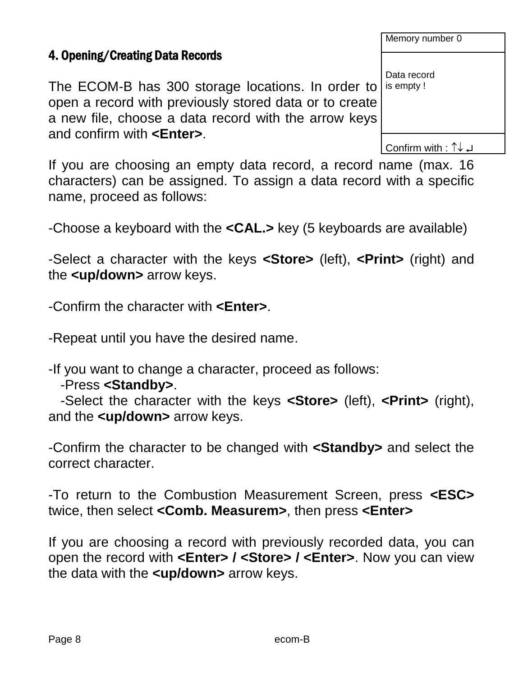4. Opening/Creating Data Records

The ECOM-B has 300 storage locations. In order to open a record with previously stored data or to create a new file, choose a data record with the arrow keys and confirm with **<Enter>**. is empty !

Confirm with :  $\uparrow\downarrow\downarrow$ 

If you are choosing an empty data record, a record name (max. 16 characters) can be assigned. To assign a data record with a specific name, proceed as follows:

-Choose a keyboard with the **<CAL.>** key (5 keyboards are available)

-Select a character with the keys **<Store>** (left), **<Print>** (right) and the **<up/down>** arrow keys.

-Confirm the character with **<Enter>**.

-Repeat until you have the desired name.

-If you want to change a character, proceed as follows:

#### -Press **<Standby>**.

-Select the character with the keys **<Store>** (left), **<Print>** (right), and the **<up/down>** arrow keys.

-Confirm the character to be changed with **<Standby>** and select the correct character.

-To return to the Combustion Measurement Screen, press **<ESC>**  twice, then select **<Comb. Measurem>**, then press **<Enter>**

If you are choosing a record with previously recorded data, you can open the record with **<Enter> / <Store> / <Enter>**. Now you can view the data with the **<up/down>** arrow keys.

#### Memory number 0

Data record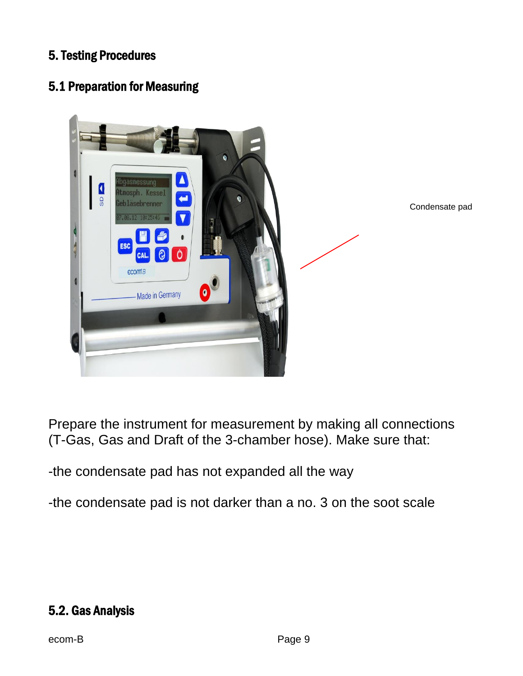#### 5. Testing Procedures

## 5.1 Preparation for Measuring



Condensate pad

Prepare the instrument for measurement by making all connections (T-Gas, Gas and Draft of the 3-chamber hose). Make sure that:

-the condensate pad has not expanded all the way

-the condensate pad is not darker than a no. 3 on the soot scale

### 5.2. Gas Analysis

ecom-B Page 9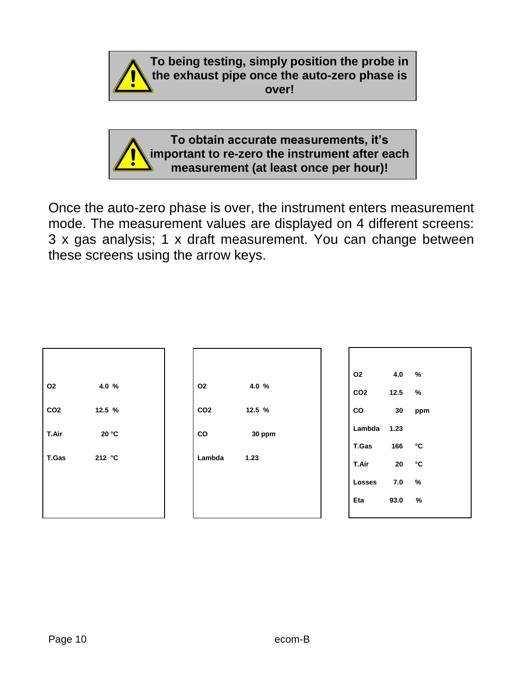

**To obtain accurate measurements, it's important to re-zero the instrument after each measurement (at least once per hour)!**

Once the auto-zero phase is over, the instrument enters measurement mode. The measurement values are displayed on 4 different screens: 3 x gas analysis; 1 x draft measurement. You can change between these screens using the arrow keys.

| O <sub>2</sub>  | 4.0 %  |  |
|-----------------|--------|--|
| CO <sub>2</sub> | 12.5 % |  |
| T.Air           | 20 °C  |  |
| <b>T.Gas</b>    | 212 °C |  |
|                 |        |  |
|                 |        |  |

**O2 4.0 % CO2 12.5 % CO 30 ppm Lambda 1.23**

| O <sub>2</sub>          | $4.0\frac{9}{6}$  |     |
|-------------------------|-------------------|-----|
| CO <sub>2</sub>         | $12.5\frac{1}{2}$ |     |
| CO                      | 30                | ppm |
| Lambda 1.23             |                   |     |
| T.Gas                   | 166               | °C  |
| T.Air                   | 20                | °C  |
| $\textsf{Losses}$ 7.0 % |                   |     |
| Eta                     | 93.0              | %   |
|                         |                   |     |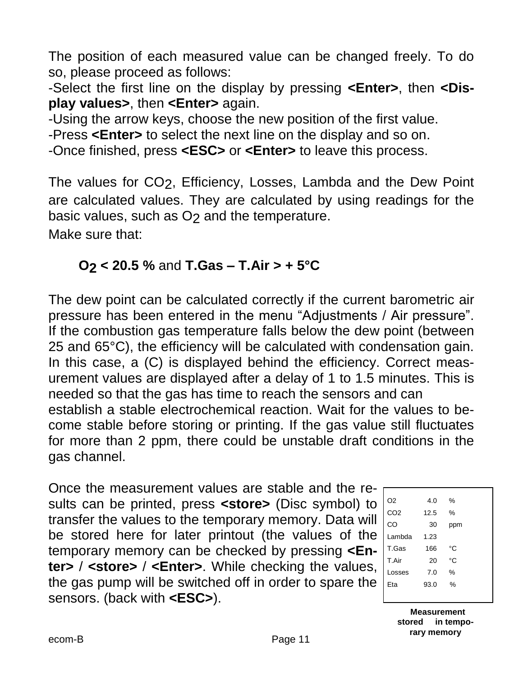The position of each measured value can be changed freely. To do so, please proceed as follows:

-Select the first line on the display by pressing **<Enter>**, then **<Display values>**, then **<Enter>** again.

-Using the arrow keys, choose the new position of the first value.

-Press **<Enter>** to select the next line on the display and so on.

-Once finished, press **<ESC>** or **<Enter>** to leave this process.

The values for CO2, Efficiency, Losses, Lambda and the Dew Point are calculated values. They are calculated by using readings for the basic values, such as O<sub>2</sub> and the temperature. Make sure that:

## **O2 < 20.5 %** and **T.Gas – T.Air > + 5°C**

The dew point can be calculated correctly if the current barometric air pressure has been entered in the menu "Adjustments / Air pressure". If the combustion gas temperature falls below the dew point (between 25 and 65°C), the efficiency will be calculated with condensation gain. In this case, a (C) is displayed behind the efficiency. Correct measurement values are displayed after a delay of 1 to 1.5 minutes. This is needed so that the gas has time to reach the sensors and can establish a stable electrochemical reaction. Wait for the values to become stable before storing or printing. If the gas value still fluctuates for more than 2 ppm, there could be unstable draft conditions in the gas channel.

Once the measurement values are stable and the results can be printed, press **<store>** (Disc symbol) to transfer the values to the temporary memory. Data will be stored here for later printout (the values of the temporary memory can be checked by pressing **<Enter>** / **<store>** / **<Enter>**. While checking the values, the gas pump will be switched off in order to spare the sensors. (back with **<ESC>**).

| O <sub>2</sub>  | 4.0  | $\%$          |
|-----------------|------|---------------|
| CO <sub>2</sub> | 12.5 | $\frac{0}{0}$ |
| CO              | 30   | ppm           |
| Lambda          | 1.23 |               |
| T.Gas           | 166  | °C            |
| T.Air           | 20   | °C            |
| Losses          | 7.0  | %             |
| Eta             | 93.0 | %             |
|                 |      |               |

 **Measurement stored in temporary memory**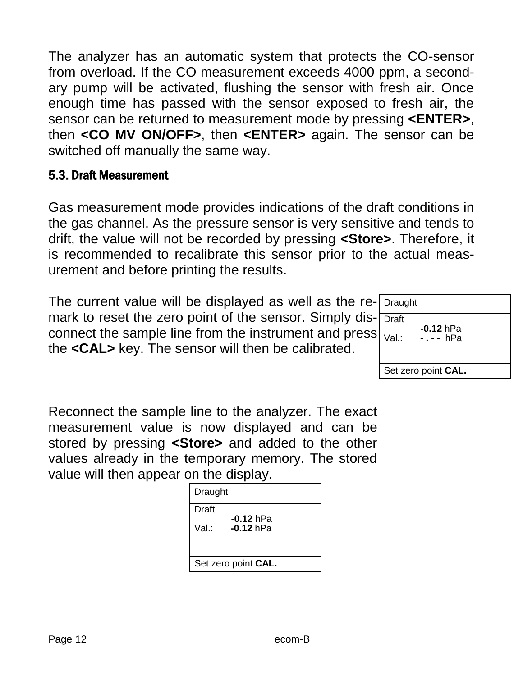The analyzer has an automatic system that protects the CO-sensor from overload. If the CO measurement exceeds 4000 ppm, a secondary pump will be activated, flushing the sensor with fresh air. Once enough time has passed with the sensor exposed to fresh air, the sensor can be returned to measurement mode by pressing **<ENTER>**, then **<CO MV ON/OFF>**, then **<ENTER>** again. The sensor can be switched off manually the same way.

#### 5.3. Draft Measurement

Gas measurement mode provides indications of the draft conditions in the gas channel. As the pressure sensor is very sensitive and tends to drift, the value will not be recorded by pressing **<Store>**. Therefore, it is recommended to recalibrate this sensor prior to the actual measurement and before printing the results.

The current value will be displayed as well as the remark to reset the zero point of the sensor. Simply disconnect the sample line from the instrument and press the **<CAL>** key. The sensor will then be calibrated.

| Draught      |                         |
|--------------|-------------------------|
| <b>Draft</b> |                         |
| Val.:        | $-0.12$ hPa<br>-.-- hPa |
|              | Set zero point CAL.     |

Reconnect the sample line to the analyzer. The exact measurement value is now displayed and can be stored by pressing **<Store>** and added to the other values already in the temporary memory. The stored value will then appear on the display.

| Draught |                            |  |
|---------|----------------------------|--|
| Draft   |                            |  |
| Val.∶   | $-0.12$ hPa<br>$-0.12$ hPa |  |
|         | Set zero point CAL.        |  |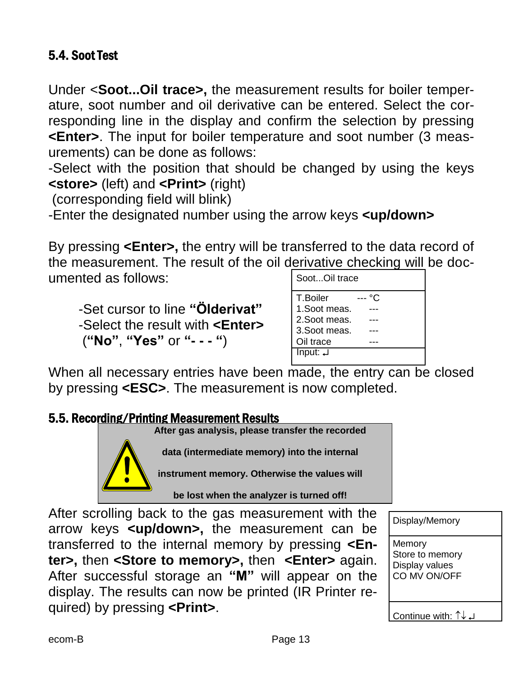### 5.4. Soot Test

Under <**Soot...Oil trace>,** the measurement results for boiler temperature, soot number and oil derivative can be entered. Select the corresponding line in the display and confirm the selection by pressing **<Enter>**. The input for boiler temperature and soot number (3 measurements) can be done as follows:

-Select with the position that should be changed by using the keys **<store>** (left) and **<Print>** (right)

(corresponding field will blink)

-Enter the designated number using the arrow keys **<up/down>**

By pressing **<Enter>,** the entry will be transferred to the data record of the measurement. The result of the oil derivative checking will be documented as follows:

-Set cursor to line **"Ölderivat"** -Select the result with **<Enter>** (**"No"**, **"Yes"** or **"- - - "**)

| SootOil trace        |     |
|----------------------|-----|
| T.Boiler             | °C. |
| 1. Soot meas.        |     |
| 2. Soot meas.        |     |
| 3. Soot meas.        |     |
| Oil trace            |     |
| $Input: \rightarrow$ |     |
|                      |     |

When all necessary entries have been made, the entry can be closed by pressing **<ESC>**. The measurement is now completed.

#### 5.5. Recording/Printing Measurement Results



**data (intermediate memory) into the internal** 

**instrument memory. Otherwise the values will** 

**be lost when the analyzer is turned off!**

After scrolling back to the gas measurement with the arrow keys **<up/down>,** the measurement can be transferred to the internal memory by pressing **<Enter>,** then **<Store to memory>,** then **<Enter>** again. After successful storage an **"M"** will appear on the display. The results can now be printed (IR Printer required) by pressing **<Print>**.

Display/Memory

**Memory** Store to memory Display values CO MV ON/OFF

Continue with:  $\uparrow\downarrow\downarrow$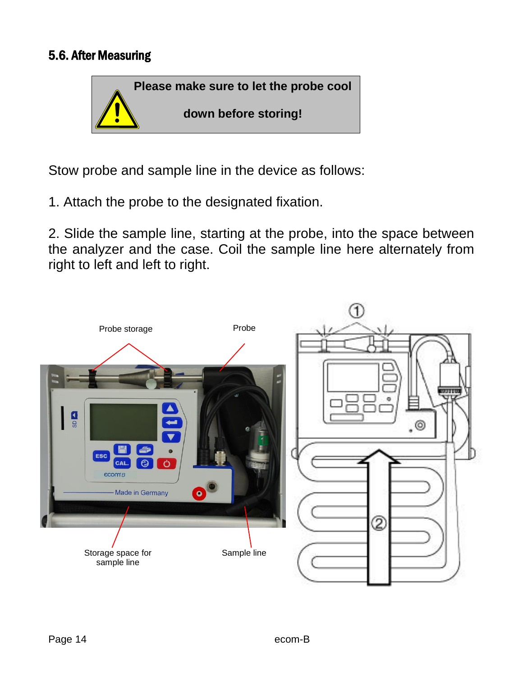#### 5.6. After Measuring



Stow probe and sample line in the device as follows:

1. Attach the probe to the designated fixation.

2. Slide the sample line, starting at the probe, into the space between the analyzer and the case. Coil the sample line here alternately from right to left and left to right.

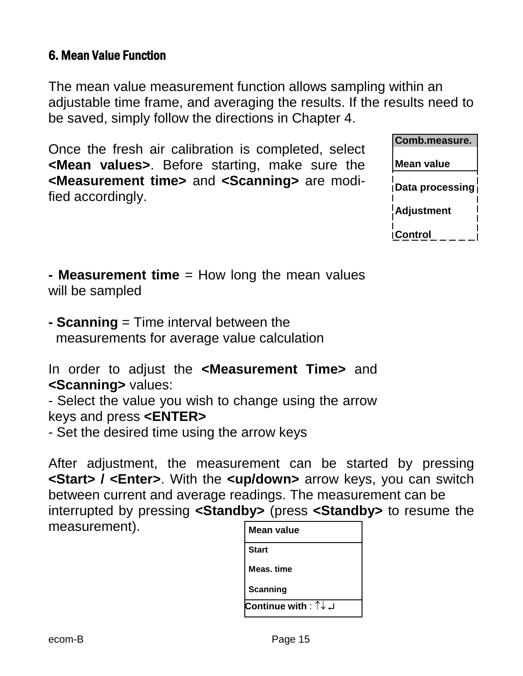#### 6. Mean Value Function

The mean value measurement function allows sampling within an adjustable time frame, and averaging the results. If the results need to be saved, simply follow the directions in Chapter 4.

Once the fresh air calibration is completed, select **<Mean values>**. Before starting, make sure the **<Measurement time>** and **<Scanning>** are modified accordingly.

| Comb.measure.          |
|------------------------|
| <b>Mean value</b>      |
| <b>Data processing</b> |
| <u>¦</u> Adjustment    |
| <b>Control</b>         |

**- Measurement time** = How long the mean values will be sampled

**- Scanning** = Time interval between the measurements for average value calculation

In order to adjust the **<Measurement Time>** and **<Scanning>** values:

- Select the value you wish to change using the arrow keys and press **<ENTER>**

- Set the desired time using the arrow keys

After adjustment, the measurement can be started by pressing **<Start> / <Enter>**. With the **<up/down>** arrow keys, you can switch between current and average readings. The measurement can be interrupted by pressing **<Standby>** (press **<Standby>** to resume the measurement). **Mean value**

| Mean value              |  |
|-------------------------|--|
| <b>Start</b>            |  |
| Meas. time              |  |
| Scanning                |  |
| اــ ↓ Continue with : ↑ |  |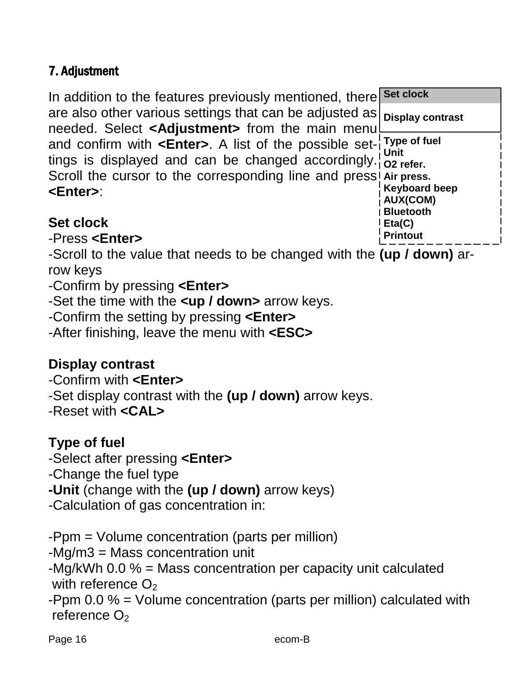## 7. Adjustment

In addition to the features previously mentioned, there are also other various settings that can be adjusted as needed. Select **<Adjustment>** from the main menu and confirm with **<Enter>**. A list of the possible settings is displayed and can be changed accordingly.<sup>1</sup> o<sub>2 refer.</sub> Scroll the cursor to the corresponding line and press! Air press. **<Enter>**: **Set clock Display contrast Type of fuel Unit Keyboard beep AUX(COM)**

## **Set clock**

-Press **<Enter>**

-Scroll to the value that needs to be changed with the **(up / down)** arrow keys

**Bluetooth Eta(C) Printout**

-Confirm by pressing **<Enter>**

-Set the time with the **<up / down>** arrow keys.

-Confirm the setting by pressing **<Enter>**

-After finishing, leave the menu with **<ESC>**

# **Display contrast**

-Confirm with **<Enter>**

-Set display contrast with the **(up / down)** arrow keys.

-Reset with **<CAL>**

# **Type of fuel**

-Select after pressing **<Enter>**

-Change the fuel type

**-Unit** (change with the **(up / down)** arrow keys)

-Calculation of gas concentration in:

-Ppm = Volume concentration (parts per million)

-Mg/m3 = Mass concentration unit

-Mg/kWh 0.0 % = Mass concentration per capacity unit calculated with reference  $O<sub>2</sub>$ 

-Ppm 0.0 % = Volume concentration (parts per million) calculated with reference  $O<sub>2</sub>$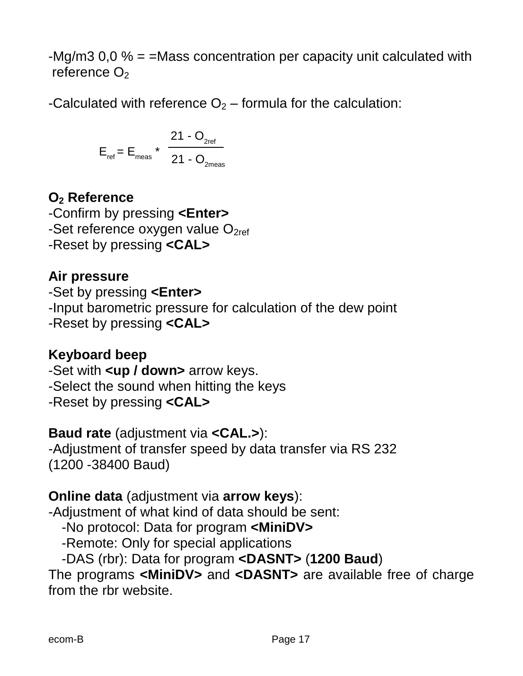-Mg/m3 0,0 % = =Mass concentration per capacity unit calculated with reference  $O<sub>2</sub>$ 

-Calculated with reference  $O_2$  – formula for the calculation:

$$
E_{\text{ref}} = E_{\text{meas}} \star \frac{21 - O_{\text{2ref}}}{21 - O_{\text{2meas}}}
$$

## **O<sup>2</sup> Reference**

-Confirm by pressing **<Enter>** -Set reference oxygen value  $O_{2ref}$ -Reset by pressing **<CAL>**

## **Air pressure**

-Set by pressing **<Enter>** -Input barometric pressure for calculation of the dew point -Reset by pressing **<CAL>**

## **Keyboard beep**

-Set with **<up / down>** arrow keys. -Select the sound when hitting the keys -Reset by pressing **<CAL>**

### **Baud rate** (adjustment via **<CAL.>**):

-Adjustment of transfer speed by data transfer via RS 232 (1200 -38400 Baud)

### **Online data** (adjustment via **arrow keys**):

-Adjustment of what kind of data should be sent:

-No protocol: Data for program **<MiniDV>**

-Remote: Only for special applications

-DAS (rbr): Data for program **<DASNT>** (**1200 Baud**)

The programs **<MiniDV>** and **<DASNT>** are available free of charge from the rbr website.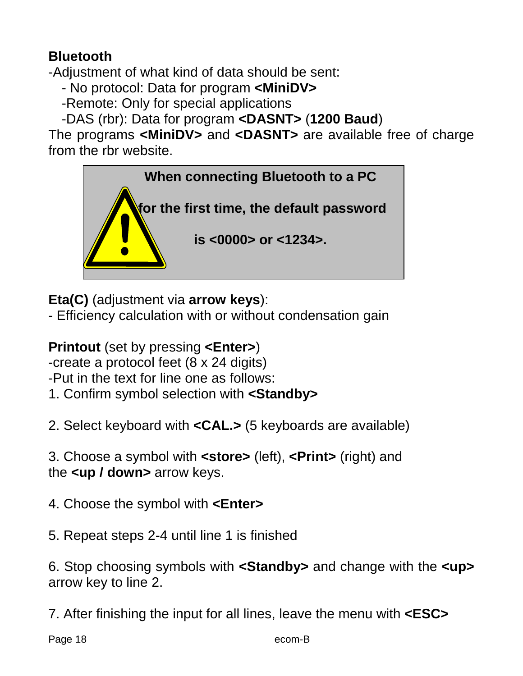## **Bluetooth**

-Adjustment of what kind of data should be sent:

- No protocol: Data for program **<MiniDV>**

-Remote: Only for special applications

-DAS (rbr): Data for program **<DASNT>** (**1200 Baud**)

The programs **<MiniDV>** and **<DASNT>** are available free of charge from the rbr website.



**Eta(C)** (adjustment via **arrow keys**):

- Efficiency calculation with or without condensation gain

**Printout** (set by pressing **<Enter>**)

-create a protocol feet (8 x 24 digits)

-Put in the text for line one as follows:

1. Confirm symbol selection with **<Standby>**

2. Select keyboard with **<CAL.>** (5 keyboards are available)

3. Choose a symbol with **<store>** (left), **<Print>** (right) and the **<up / down>** arrow keys.

4. Choose the symbol with **<Enter>**

5. Repeat steps 2-4 until line 1 is finished

6. Stop choosing symbols with **<Standby>** and change with the **<up>** arrow key to line 2.

7. After finishing the input for all lines, leave the menu with **<ESC>**

Page 18 and the com-B ecom-B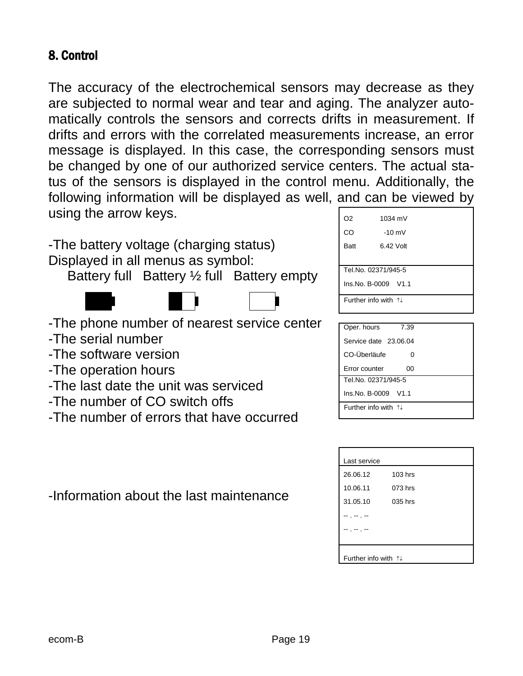#### 8. Control

The accuracy of the electrochemical sensors may decrease as they are subjected to normal wear and tear and aging. The analyzer automatically controls the sensors and corrects drifts in measurement. If drifts and errors with the correlated measurements increase, an error message is displayed. In this case, the corresponding sensors must be changed by one of our authorized service centers. The actual status of the sensors is displayed in the control menu. Additionally, the following information will be displayed as well, and can be viewed by using the arrow keys.



- -The number of CO switch offs
- -The number of errors that have occurred

-Information about the last maintenance

| O <sub>2</sub>                         | 1034 mV             |  |
|----------------------------------------|---------------------|--|
| CO                                     | $-10$ mV            |  |
| <b>Batt</b>                            | 6.42 Volt           |  |
|                                        |                     |  |
|                                        | Tel.No. 02371/945-5 |  |
|                                        | Ins.No. B-0009 V1.1 |  |
| Further info with $\uparrow\downarrow$ |                     |  |
|                                        |                     |  |
| Oper. hours                            | 7.39                |  |

| Oper. hours<br>7.39                     |  |
|-----------------------------------------|--|
| Service date 23.06.04                   |  |
| CO-Überläufe<br>O                       |  |
| <b>Error counter</b><br>ΩO              |  |
| Tel.No. 02371/945-5                     |  |
| Ins.No. B-0009 V1.1                     |  |
| Further info with $\uparrow \downarrow$ |  |

| Last service                           |           |  |
|----------------------------------------|-----------|--|
| 26.06.12                               | $103$ hrs |  |
| 10.06.11                               | 073 hrs   |  |
| 31.05.10                               | 035 hrs   |  |
|                                        |           |  |
|                                        |           |  |
|                                        |           |  |
| Further info with $\uparrow\downarrow$ |           |  |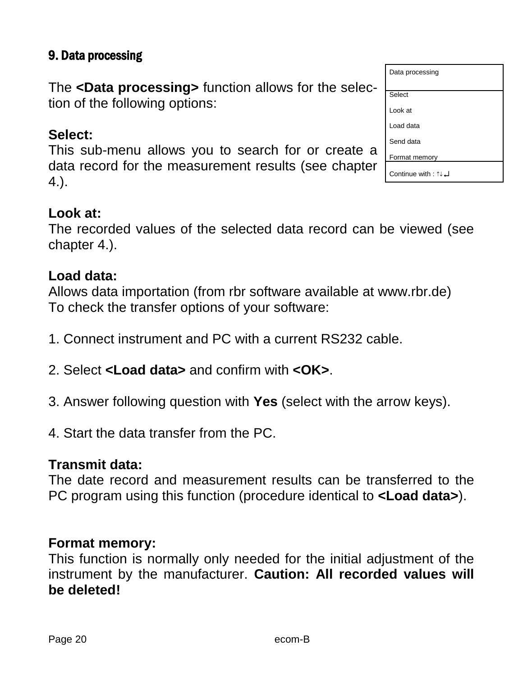## 9. Data processing

The **<Data processing>** function allows for the selection of the following options:

#### **Select:**

This sub-menu allows you to search for or create a data record for the measurement results (see chapter 4.).

#### **Look at:**

The recorded values of the selected data record can be viewed (see chapter 4.).

#### **Load data:**

Allows data importation (from rbr software available at www.rbr.de) To check the transfer options of your software:

- 1. Connect instrument and PC with a current RS232 cable.
- 2. Select **<Load data>** and confirm with **<OK>**.
- 3. Answer following question with **Yes** (select with the arrow keys).
- 4. Start the data transfer from the PC.

#### **Transmit data:**

The date record and measurement results can be transferred to the PC program using this function (procedure identical to **<Load data>**).

#### **Format memory:**

This function is normally only needed for the initial adjustment of the instrument by the manufacturer. **Caution: All recorded values will be deleted!**

| Data processing      |
|----------------------|
|                      |
| Select               |
| Look at              |
| Load data            |
| Send data            |
| Format memory        |
| L Continue with : ↑↓ |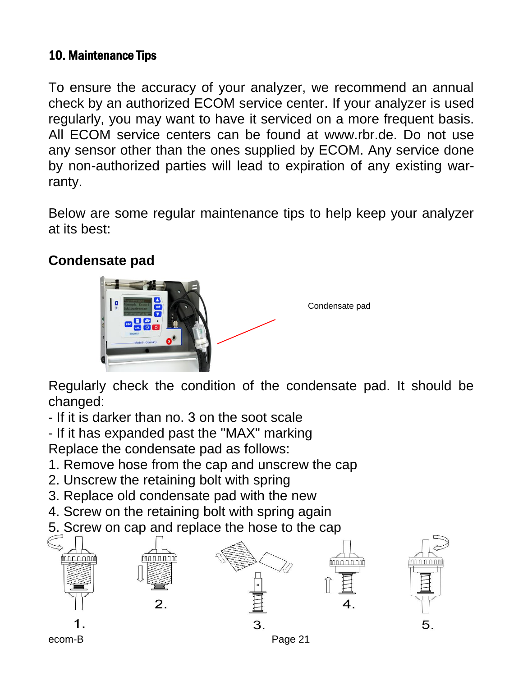## 10. Maintenance Tips

To ensure the accuracy of your analyzer, we recommend an annual check by an authorized ECOM service center. If your analyzer is used regularly, you may want to have it serviced on a more frequent basis. All ECOM service centers can be found at www.rbr.de. Do not use any sensor other than the ones supplied by ECOM. Any service done by non-authorized parties will lead to expiration of any existing warranty.

Below are some regular maintenance tips to help keep your analyzer at its best:

## **Condensate pad**



Condensate pad

Regularly check the condition of the condensate pad. It should be changed:

- If it is darker than no. 3 on the soot scale

- If it has expanded past the "MAX" marking

Replace the condensate pad as follows:

- 1. Remove hose from the cap and unscrew the cap
- 2. Unscrew the retaining bolt with spring
- 3. Replace old condensate pad with the new
- 4. Screw on the retaining bolt with spring again
- 5. Screw on cap and replace the hose to the cap

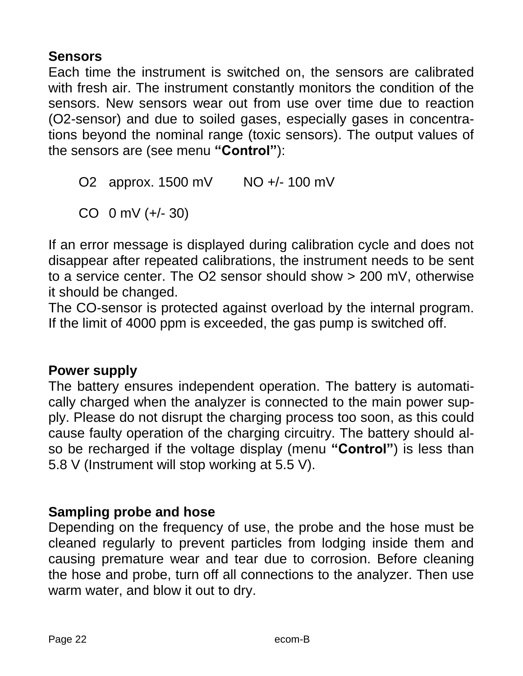## **Sensors**

Each time the instrument is switched on, the sensors are calibrated with fresh air. The instrument constantly monitors the condition of the sensors. New sensors wear out from use over time due to reaction (O2-sensor) and due to soiled gases, especially gases in concentrations beyond the nominal range (toxic sensors). The output values of the sensors are (see menu **"Control"**):

O2 approx. 1500 mV NO +/- 100 mV

CO 0 mV (+/- 30)

If an error message is displayed during calibration cycle and does not disappear after repeated calibrations, the instrument needs to be sent to a service center. The O2 sensor should show > 200 mV, otherwise it should be changed.

The CO-sensor is protected against overload by the internal program. If the limit of 4000 ppm is exceeded, the gas pump is switched off.

### **Power supply**

The battery ensures independent operation. The battery is automatically charged when the analyzer is connected to the main power supply. Please do not disrupt the charging process too soon, as this could cause faulty operation of the charging circuitry. The battery should also be recharged if the voltage display (menu **"Control"**) is less than 5.8 V (Instrument will stop working at 5.5 V).

### **Sampling probe and hose**

Depending on the frequency of use, the probe and the hose must be cleaned regularly to prevent particles from lodging inside them and causing premature wear and tear due to corrosion. Before cleaning the hose and probe, turn off all connections to the analyzer. Then use warm water, and blow it out to dry.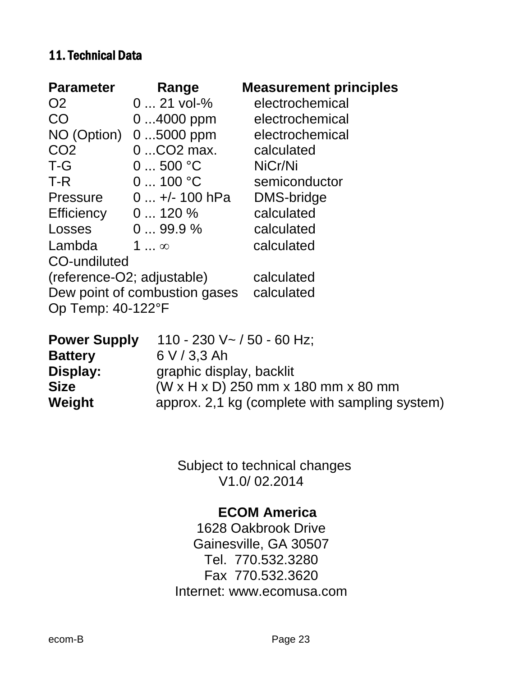#### 11. Technical Data

| <b>Parameter</b>              | Range                       | <b>Measurement principles</b> |
|-------------------------------|-----------------------------|-------------------------------|
| O <sub>2</sub>                | $021$ vol-%                 | electrochemical               |
| <b>CO</b>                     | $04000$ ppm                 | electrochemical               |
| NO (Option)                   | $05000$ ppm                 | electrochemical               |
| CO <sub>2</sub>               | 0  CO <sub>2</sub> max.     | calculated                    |
| T-G                           | 0500 °C                     | NiCr/Ni                       |
| T-R                           | 0100 °C                     | semiconductor                 |
|                               | Pressure $0 +/- 100$ hPa    | <b>DMS-bridge</b>             |
| Efficiency $0 \dots 120 \%$   |                             | calculated                    |
| Losses                        | $099.9\,\%$                 | calculated                    |
| Lambda                        | 1 $\dots$ $\infty$          | calculated                    |
| CO-undiluted                  |                             |                               |
| (reference-O2; adjustable)    |                             | calculated                    |
| Dew point of combustion gases |                             | calculated                    |
| Op Temp: 40-122°F             |                             |                               |
| <b>Power Supply</b>           | 110 - 230 V ~ / 50 - 60 Hz; |                               |
| <b>Battery</b>                | 6 V / 3.3 Ah                |                               |
| Display:                      | graphic display, backlit    |                               |
|                               | $(111 \quad 11 \quad 7)$    |                               |

**Size** (W x H x D) 250 mm x 180 mm x 80 mm Weight **approx.** 2,1 kg (complete with sampling system)

> Subject to technical changes V1.0/ 02.2014

#### **ECOM America**

1628 Oakbrook Drive Gainesville, GA 30507 Tel. 770.532.3280 Fax 770.532.3620 Internet: www.ecomusa.com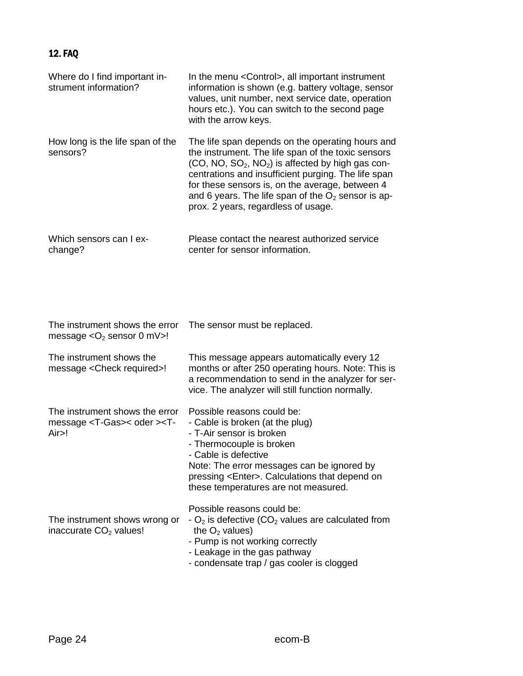#### 12. FAQ

| Where do I find important in-<br>strument information?                                    | In the menu < Control >, all important instrument<br>information is shown (e.g. battery voltage, sensor<br>values, unit number, next service date, operation<br>hours etc.). You can switch to the second page<br>with the arrow keys.                                                                                                                               |
|-------------------------------------------------------------------------------------------|----------------------------------------------------------------------------------------------------------------------------------------------------------------------------------------------------------------------------------------------------------------------------------------------------------------------------------------------------------------------|
| How long is the life span of the<br>sensors?                                              | The life span depends on the operating hours and<br>the instrument. The life span of the toxic sensors<br>$(CO, NO, SO2, NO2)$ is affected by high gas con-<br>centrations and insufficient purging. The life span<br>for these sensors is, on the average, between 4<br>and 6 years. The life span of the $O2$ sensor is ap-<br>prox. 2 years, regardless of usage. |
| Which sensors can I ex-<br>change?                                                        | Please contact the nearest authorized service<br>center for sensor information.                                                                                                                                                                                                                                                                                      |
| The instrument shows the error<br>message $<$ O <sub>2</sub> sensor 0 mV $>$ !            | The sensor must be replaced.                                                                                                                                                                                                                                                                                                                                         |
| The instrument shows the<br>message <check required="">!</check>                          | This message appears automatically every 12<br>months or after 250 operating hours. Note: This is<br>a recommendation to send in the analyzer for ser-<br>vice. The analyzer will still function normally.                                                                                                                                                           |
| The instrument shows the error<br>message <t-gas>&lt; oder &gt;<t-<br>Air</t-<br></t-gas> | Possible reasons could be:<br>- Cable is broken (at the plug)<br>- T-Air sensor is broken<br>- Thermocouple is broken<br>Cable is defective<br>Note: The error messages can be ignored by<br>pressing <enter>. Calculations that depend on<br/>these temperatures are not measured.</enter>                                                                          |
| The instrument shows wrong or<br>inaccurate CO <sub>2</sub> values!                       | Possible reasons could be:<br>$-$ O <sub>2</sub> is defective (CO <sub>2</sub> values are calculated from<br>the $O2$ values)<br>- Pump is not working correctly<br>- Leakage in the gas pathway<br>- condensate trap / gas cooler is clogged                                                                                                                        |